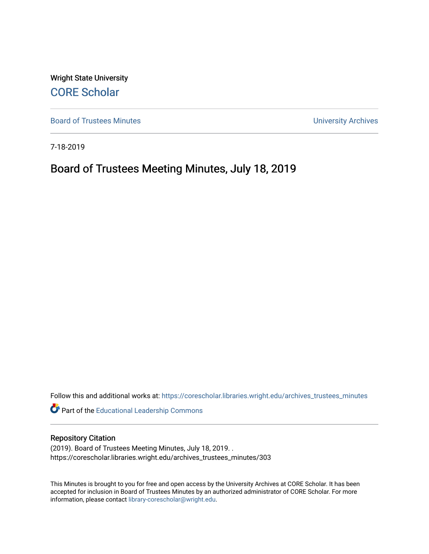Wright State University [CORE Scholar](https://corescholar.libraries.wright.edu/)

[Board of Trustees Minutes](https://corescholar.libraries.wright.edu/archives_trustees_minutes) **Exercise 2018** Solution 2018 10:30 Minutes University Archives

7-18-2019

# Board of Trustees Meeting Minutes, July 18, 2019

Follow this and additional works at: [https://corescholar.libraries.wright.edu/archives\\_trustees\\_minutes](https://corescholar.libraries.wright.edu/archives_trustees_minutes?utm_source=corescholar.libraries.wright.edu%2Farchives_trustees_minutes%2F303&utm_medium=PDF&utm_campaign=PDFCoverPages) 

Part of the [Educational Leadership Commons](https://network.bepress.com/hgg/discipline/1230?utm_source=corescholar.libraries.wright.edu%2Farchives_trustees_minutes%2F303&utm_medium=PDF&utm_campaign=PDFCoverPages) 

#### Repository Citation

(2019). Board of Trustees Meeting Minutes, July 18, 2019. . https://corescholar.libraries.wright.edu/archives\_trustees\_minutes/303

This Minutes is brought to you for free and open access by the University Archives at CORE Scholar. It has been accepted for inclusion in Board of Trustees Minutes by an authorized administrator of CORE Scholar. For more information, please contact [library-corescholar@wright.edu.](mailto:library-corescholar@wright.edu)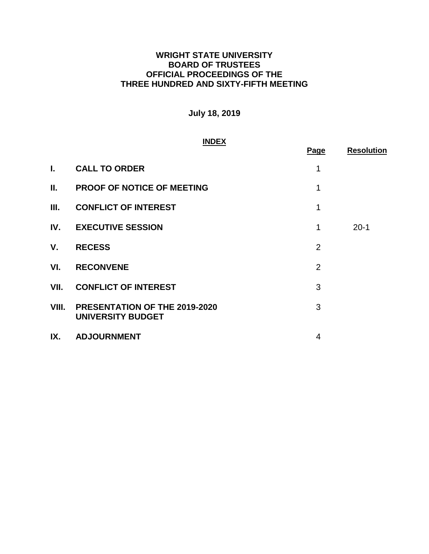# **WRIGHT STATE UNIVERSITY BOARD OF TRUSTEES OFFICIAL PROCEEDINGS OF THE THREE HUNDRED AND SIXTY-FIFTH MEETING**

# **July 18, 2019**

#### **INDEX**

|       |                                                           | Page           | <b>Resolution</b> |
|-------|-----------------------------------------------------------|----------------|-------------------|
| L.    | <b>CALL TO ORDER</b>                                      | 1              |                   |
| П.    | <b>PROOF OF NOTICE OF MEETING</b>                         | 1              |                   |
| Ш.    | <b>CONFLICT OF INTEREST</b>                               | 1              |                   |
| IV.   | <b>EXECUTIVE SESSION</b>                                  | 1              | $20-1$            |
| V.    | <b>RECESS</b>                                             | $\overline{2}$ |                   |
| VI.   | <b>RECONVENE</b>                                          | $\overline{2}$ |                   |
| VII.  | <b>CONFLICT OF INTEREST</b>                               | 3              |                   |
| VIII. | PRESENTATION OF THE 2019-2020<br><b>UNIVERSITY BUDGET</b> | 3              |                   |
| IX.   | <b>ADJOURNMENT</b>                                        | 4              |                   |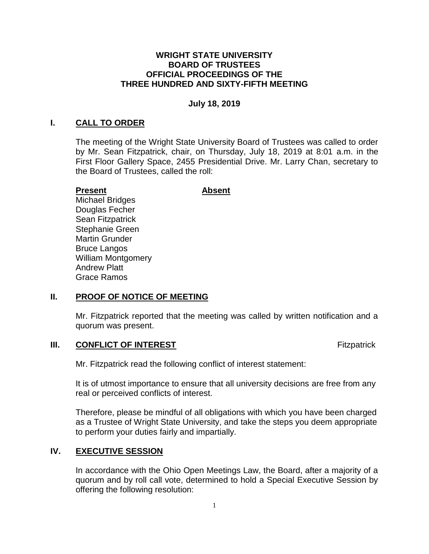#### **WRIGHT STATE UNIVERSITY BOARD OF TRUSTEES OFFICIAL PROCEEDINGS OF THE THREE HUNDRED AND SIXTY-FIFTH MEETING**

#### **July 18, 2019**

#### **I. CALL TO ORDER**

 The meeting of the Wright State University Board of Trustees was called to order by Mr. Sean Fitzpatrick, chair, on Thursday, July 18, 2019 at 8:01 a.m. in the First Floor Gallery Space, 2455 Presidential Drive. Mr. Larry Chan, secretary to the Board of Trustees, called the roll:

#### **Present**

**Absent** 

Michael Bridges Douglas Fecher Sean Fitzpatrick Stephanie Green Martin Grunder Bruce Langos William Montgomery Andrew Platt Grace Ramos

#### **II. PROOF OF NOTICE OF MEETING**

 Mr. Fitzpatrick reported that the meeting was called by written notification and a quorum was present.

#### **III.** CONFLICT OF INTEREST **Fixed Act 10 ACC 2014** Fitzpatrick

Mr. Fitzpatrick read the following conflict of interest statement:

 It is of utmost importance to ensure that all university decisions are free from any real or perceived conflicts of interest.

 Therefore, please be mindful of all obligations with which you have been charged as a Trustee of Wright State University, and take the steps you deem appropriate to perform your duties fairly and impartially.

## **IV. EXECUTIVE SESSION**

 In accordance with the Ohio Open Meetings Law, the Board, after a majority of a quorum and by roll call vote, determined to hold a Special Executive Session by offering the following resolution: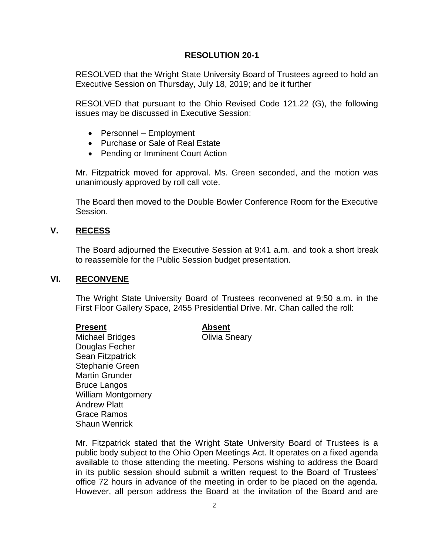#### **RESOLUTION 20-1**

<span id="page-3-0"></span> RESOLVED that the Wright State University Board of Trustees agreed to hold an Executive Session on Thursday, July 18, 2019; and be it further

 RESOLVED that pursuant to the Ohio Revised Code 121.22 (G), the following issues may be discussed in Executive Session:

- Personnel Employment
- Purchase or Sale of Real Estate
- Pending or Imminent Court Action

 Mr. Fitzpatrick moved for approval. Ms. Green seconded, and the motion was unanimously approved by roll call vote.

 The Board then moved to the Double Bowler Conference Room for the Executive Session.

#### **V. RECESS**

 The Board adjourned the Executive Session at 9:41 a.m. and took a short break to reassemble for the Public Session budget presentation.

## **VI. RECONVENE**

 The Wright State University Board of Trustees reconvened at 9:50 a.m. in the First Floor Gallery Space, 2455 Presidential Drive. Mr. Chan called the roll:

#### **Present Absent**

Michael Bridges **Contact Colli**via Sneary Douglas Fecher Sean Fitzpatrick Stephanie Green Martin Grunder Bruce Langos William Montgomery Andrew Platt Grace Ramos Shaun Wenrick

 Mr. Fitzpatrick stated that the Wright State University Board of Trustees is a available to those attending the meeting. Persons wishing to address the Board in its public session should submit a written request to the Board of Trustees' office 72 hours in advance of the meeting in order to be placed on the agenda. However, all person address the Board at the invitation of the Board and are public body subject to the Ohio Open Meetings Act. It operates on a fixed agenda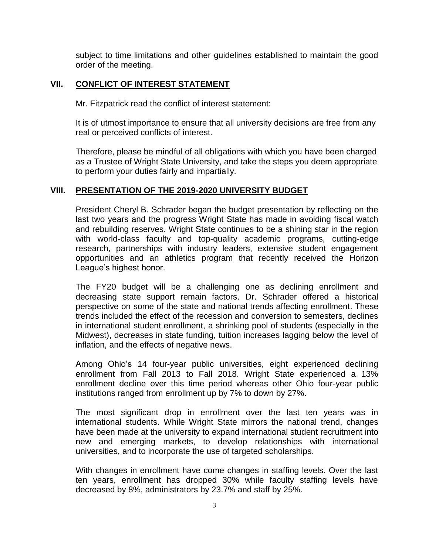<span id="page-4-0"></span> subject to time limitations and other guidelines established to maintain the good order of the meeting.

## **VII. CONFLICT OF INTEREST STATEMENT**

Mr. Fitzpatrick read the conflict of interest statement:

 It is of utmost importance to ensure that all university decisions are free from any real or perceived conflicts of interest.

 Therefore, please be mindful of all obligations with which you have been charged as a Trustee of Wright State University, and take the steps you deem appropriate to perform your duties fairly and impartially.

#### **VIII. PRESENTATION OF THE 2019-2020 UNIVERSITY BUDGET**

 President Cheryl B. Schrader began the budget presentation by reflecting on the last two years and the progress Wright State has made in avoiding fiscal watch and rebuilding reserves. Wright State continues to be a shining star in the region with world-class faculty and top-quality academic programs, cutting-edge research, partnerships with industry leaders, extensive student engagement opportunities and an athletics program that recently received the Horizon League's highest honor.

 The FY20 budget will be a challenging one as declining enrollment and decreasing state support remain factors. Dr. Schrader offered a historical perspective on some of the state and national trends affecting enrollment. These trends included the effect of the recession and conversion to semesters, declines in international student enrollment, a shrinking pool of students (especially in the Midwest), decreases in state funding, tuition increases lagging below the level of inflation, and the effects of negative news.

 Among Ohio's 14 four-year public universities, eight experienced declining enrollment from Fall 2013 to Fall 2018. Wright State experienced a 13% enrollment decline over this time period whereas other Ohio four-year public institutions ranged from enrollment up by 7% to down by 27%.

 The most significant drop in enrollment over the last ten years was in have been made at the university to expand international student recruitment into new and emerging markets, to develop relationships with international international students. While Wright State mirrors the national trend, changes universities, and to incorporate the use of targeted scholarships.

 With changes in enrollment have come changes in staffing levels. Over the last ten years, enrollment has dropped 30% while faculty staffing levels have decreased by 8%, administrators by 23.7% and staff by 25%.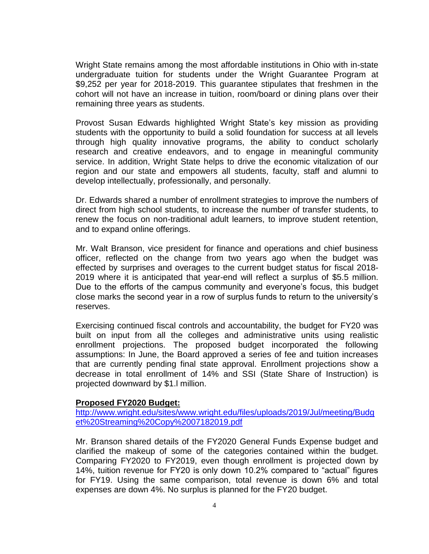<span id="page-5-0"></span> Wright State remains among the most affordable institutions in Ohio with in-state undergraduate tuition for students under the Wright Guarantee Program at \$9,252 per year for 2018-2019. This guarantee stipulates that freshmen in the cohort will not have an increase in tuition, room/board or dining plans over their remaining three years as students.

 Provost Susan Edwards highlighted Wright State's key mission as providing students with the opportunity to build a solid foundation for success at all levels through high quality innovative programs, the ability to conduct scholarly research and creative endeavors, and to engage in meaningful community service. In addition, Wright State helps to drive the economic vitalization of our region and our state and empowers all students, faculty, staff and alumni to develop intellectually, professionally, and personally.

 Dr. Edwards shared a number of enrollment strategies to improve the numbers of direct from high school students, to increase the number of transfer students, to renew the focus on non-traditional adult learners, to improve student retention, and to expand online offerings.

 Mr. Walt Branson, vice president for finance and operations and chief business officer, reflected on the change from two years ago when the budget was effected by surprises and overages to the current budget status for fiscal 2018- 2019 where it is anticipated that year-end will reflect a surplus of \$5.5 million. Due to the efforts of the campus community and everyone's focus, this budget close marks the second year in a row of surplus funds to return to the university's reserves.

 Exercising continued fiscal controls and accountability, the budget for FY20 was built on input from all the colleges and administrative units using realistic enrollment projections. The proposed budget incorporated the following assumptions: In June, the Board approved a series of fee and tuition increases that are currently pending final state approval. Enrollment projections show a decrease in total enrollment of 14% and SSI (State Share of Instruction) is projected downward by \$1.l million.

#### **Proposed FY2020 Budget:**

[http://www.wright.edu/sites/www.wright.edu/files/uploads/2019/Jul/meeting/Budg](http://www.wright.edu/sites/www.wright.edu/files/uploads/2019/Jul/meeting/Budget%20Streaming%20Copy%2007182019.pdf)  [et%20Streaming%20Copy%2007182019.pdf](http://www.wright.edu/sites/www.wright.edu/files/uploads/2019/Jul/meeting/Budget%20Streaming%20Copy%2007182019.pdf) 

 Mr. Branson shared details of the FY2020 General Funds Expense budget and clarified the makeup of some of the categories contained within the budget. Comparing FY2020 to FY2019, even though enrollment is projected down by 14%, tuition revenue for FY20 is only down 10.2% compared to "actual" figures for FY19. Using the same comparison, total revenue is down 6% and total expenses are down 4%. No surplus is planned for the FY20 budget.